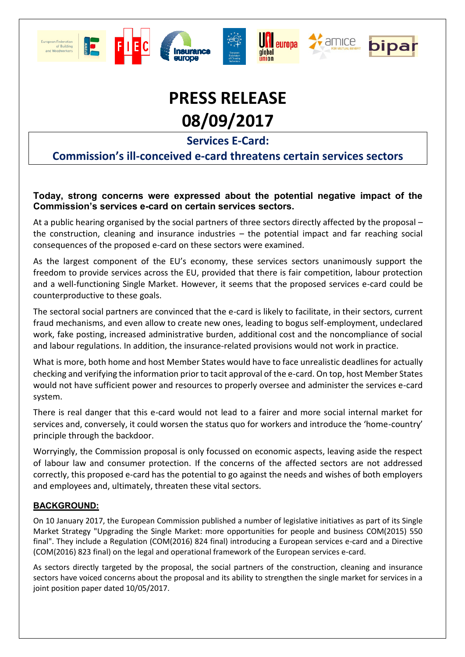





 $\star$  amice



**Services E-Card:**

### **Commission's ill-conceived e-card threatens certain services sectors**

#### **Today, strong concerns were expressed about the potential negative impact of the Commission's services e-card on certain services sectors.**

At a public hearing organised by the social partners of three sectors directly affected by the proposal – the construction, cleaning and insurance industries – the potential impact and far reaching social consequences of the proposed e-card on these sectors were examined.

As the largest component of the EU's economy, these services sectors unanimously support the freedom to provide services across the EU, provided that there is fair competition, labour protection and a well-functioning Single Market. However, it seems that the proposed services e-card could be counterproductive to these goals.

The sectoral social partners are convinced that the e-card is likely to facilitate, in their sectors, current fraud mechanisms, and even allow to create new ones, leading to bogus self-employment, undeclared work, fake posting, increased administrative burden, additional cost and the noncompliance of social and labour regulations. In addition, the insurance-related provisions would not work in practice.

What is more, both home and host Member States would have to face unrealistic deadlines for actually checking and verifying the information prior to tacit approval of the e-card. On top, host Member States would not have sufficient power and resources to properly oversee and administer the services e-card system.

There is real danger that this e-card would not lead to a fairer and more social internal market for services and, conversely, it could worsen the status quo for workers and introduce the 'home-country' principle through the backdoor.

Worryingly, the Commission proposal is only focussed on economic aspects, leaving aside the respect of labour law and consumer protection. If the concerns of the affected sectors are not addressed correctly, this proposed e-card has the potential to go against the needs and wishes of both employers and employees and, ultimately, threaten these vital sectors.

#### **BACKGROUND:**

On 10 January 2017, the European Commission published a number of legislative initiatives as part of its Single Market Strategy "Upgrading the Single Market: more opportunities for people and business COM(2015) 550 final". They include a Regulation (COM(2016) 824 final) introducing a European services e-card and a Directive (COM(2016) 823 final) on the legal and operational framework of the European services e-card.

As sectors directly targeted by the proposal, the social partners of the construction, cleaning and insurance sectors have voiced concerns about the proposal and its ability to strengthen the single market for services in a joint position paper dated 10/05/2017.